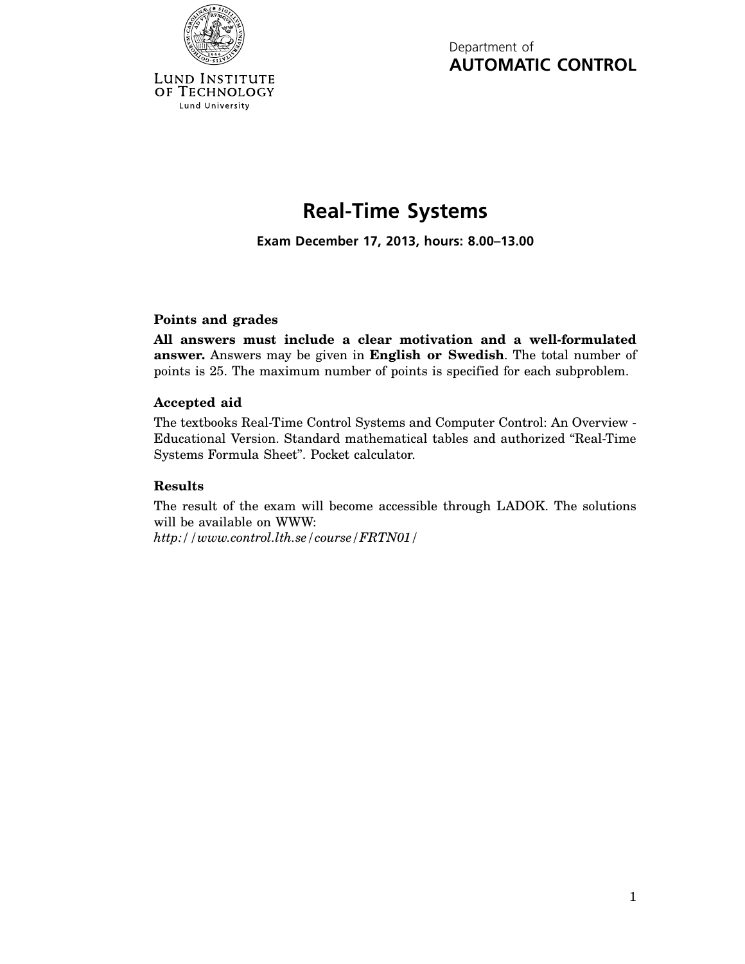

Lund University

Department of **AUTOMATIC CONTROL**

## **Real-Time Systems**

**Exam December 17, 2013, hours: 8.00–13.00**

## **Points and grades**

**All answers must include a clear motivation and a well-formulated answer.** Answers may be given in **English or Swedish**. The total number of points is 25. The maximum number of points is specified for each subproblem.

## **Accepted aid**

The textbooks Real-Time Control Systems and Computer Control: An Overview - Educational Version. Standard mathematical tables and authorized "Real-Time Systems Formula Sheet". Pocket calculator.

## **Results**

The result of the exam will become accessible through LADOK. The solutions will be available on WWW:

*http://www.control.lth.se/course/FRTN01/*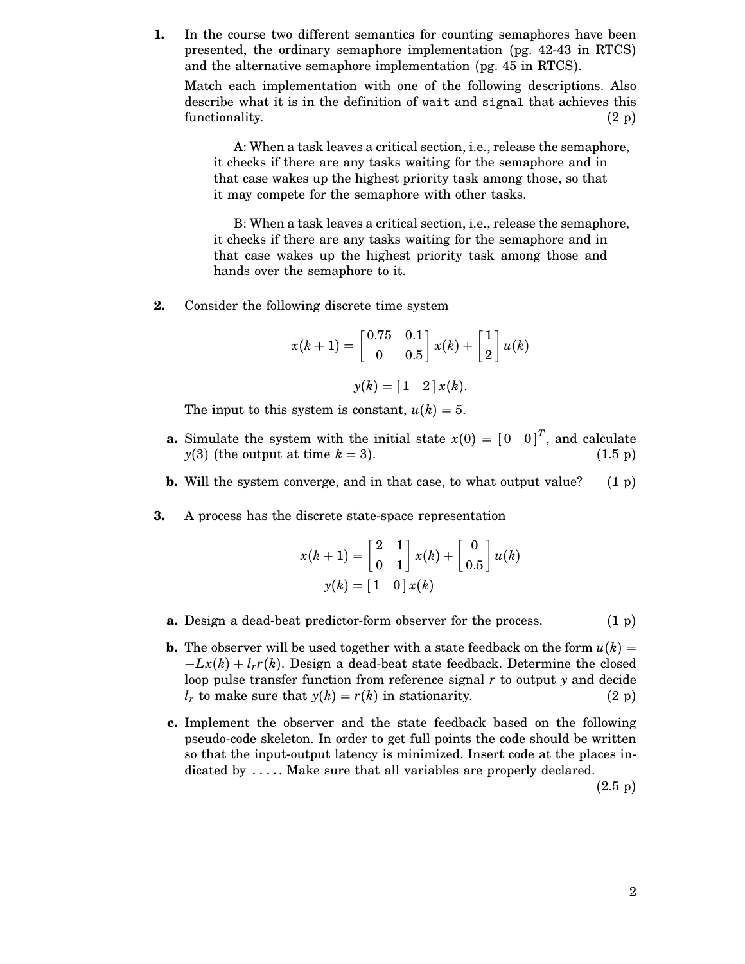**1.** In the course two different semantics for counting semaphores have been presented, the ordinary semaphore implementation (pg. 42-43 in RTCS) and the alternative semaphore implementation (pg. 45 in RTCS).

Match each implementation with one of the following descriptions. Also describe what it is in the definition of wait and signal that achieves this functionality. (2 p)

A: When a task leaves a critical section, i.e., release the semaphore, it checks if there are any tasks waiting for the semaphore and in that case wakes up the highest priority task among those, so that it may compete for the semaphore with other tasks.

B: When a task leaves a critical section, i.e., release the semaphore, it checks if there are any tasks waiting for the semaphore and in that case wakes up the highest priority task among those and hands over the semaphore to it.

**2.** Consider the following discrete time system

$$
x(k+1) = \begin{bmatrix} 0.75 & 0.1 \\ 0 & 0.5 \end{bmatrix} x(k) + \begin{bmatrix} 1 \\ 2 \end{bmatrix} u(k)
$$

$$
y(k) = \begin{bmatrix} 1 & 2 \end{bmatrix} x(k).
$$

The input to this system is constant,  $u(k) = 5$ .

- **a.** Simulate the system with the initial state  $x(0) = \begin{bmatrix} 0 & 0 \end{bmatrix}^T$ , and calculate  $y(3)$  (the output at time  $k = 3$ ). (1.5 p)
- **b.** Will the system converge, and in that case, to what output value? (1 p)
- **3.** A process has the discrete state-space representation

$$
x(k+1) = \begin{bmatrix} 2 & 1 \\ 0 & 1 \end{bmatrix} x(k) + \begin{bmatrix} 0 \\ 0.5 \end{bmatrix} u(k)
$$

$$
y(k) = \begin{bmatrix} 1 & 0 \end{bmatrix} x(k)
$$

- **a.** Design a dead-beat predictor-form observer for the process.  $(1 \text{ p})$
- **b.** The observer will be used together with a state feedback on the form  $u(k)$  =  $-Lx(k) + l_r r(k)$ . Design a dead-beat state feedback. Determine the closed loop pulse transfer function from reference signal *r* to output *y* and decide  $l_r$  to make sure that  $y(k) = r(k)$  in stationarity. (2 p)
- **c.** Implement the observer and the state feedback based on the following pseudo-code skeleton. In order to get full points the code should be written so that the input-output latency is minimized. Insert code at the places indicated by ..... Make sure that all variables are properly declared.

(2.5 p)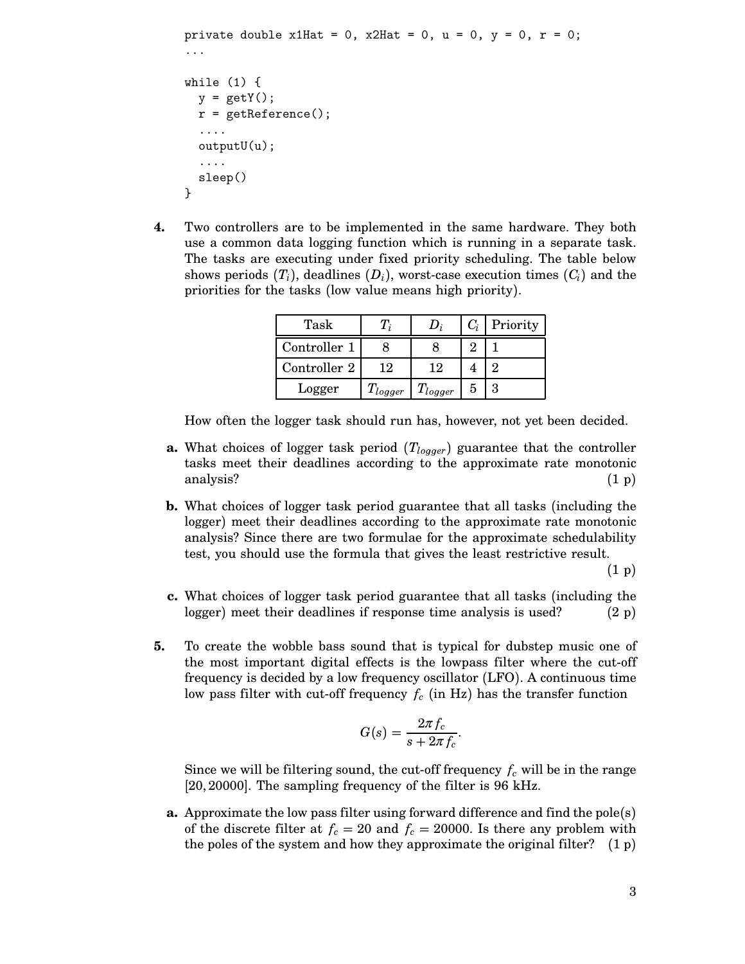```
private double x1Hat = 0, x2Hat = 0, u = 0, y = 0, r = 0;
...
while (1) {
  y = getY();
  r = getReference();
  ....
  outputU(u);
  ....
  sleep()
}
```
**4.** Two controllers are to be implemented in the same hardware. They both use a common data logging function which is running in a separate task. The tasks are executing under fixed priority scheduling. The table below shows periods  $(T_i)$ , deadlines  $(D_i)$ , worst-case execution times  $(C_i)$  and the priorities for the tasks (low value means high priority).

| Task         |               |              |   | $C_i$ Priority |
|--------------|---------------|--------------|---|----------------|
| Controller 1 |               |              |   |                |
| Controller 2 | 12            | 19           |   |                |
| Logger       | $I'_{logger}$ | $T_{logger}$ | 5 |                |

How often the logger task should run has, however, not yet been decided.

- **a.** What choices of logger task period  $(T_{logger})$  guarantee that the controller tasks meet their deadlines according to the approximate rate monotonic analysis?  $(1\,\mathrm{p})$
- **b.** What choices of logger task period guarantee that all tasks (including the logger) meet their deadlines according to the approximate rate monotonic analysis? Since there are two formulae for the approximate schedulability test, you should use the formula that gives the least restrictive result.

(1 p)

- **c.** What choices of logger task period guarantee that all tasks (including the logger) meet their deadlines if response time analysis is used?  $(2 p)$
- **5.** To create the wobble bass sound that is typical for dubstep music one of the most important digital effects is the lowpass filter where the cut-off frequency is decided by a low frequency oscillator (LFO). A continuous time low pass filter with cut-off frequency  $f_c$  (in Hz) has the transfer function

$$
G(s) = \frac{2\pi f_c}{s + 2\pi f_c}.
$$

Since we will be filtering sound, the cut-off frequency  $f_c$  will be in the range [20, 20000]. The sampling frequency of the filter is 96 kHz.

**a.** Approximate the low pass filter using forward difference and find the pole(s) of the discrete filter at  $f_c = 20$  and  $f_c = 20000$ . Is there any problem with the poles of the system and how they approximate the original filter? (1 p)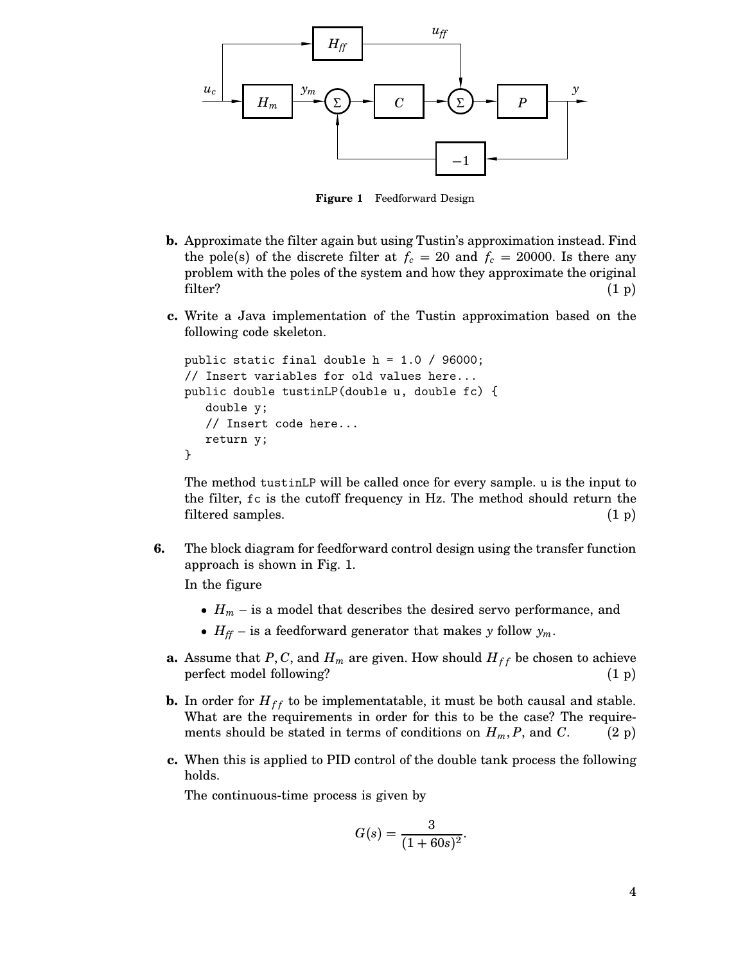

**Figure 1** Feedforward Design

- **b.** Approximate the filter again but using Tustin's approximation instead. Find the pole(s) of the discrete filter at  $f_c = 20$  and  $f_c = 20000$ . Is there any problem with the poles of the system and how they approximate the original filter?  $(1\text{ p})$
- **c.** Write a Java implementation of the Tustin approximation based on the following code skeleton.

```
public static final double h = 1.0 / 96000;
// Insert variables for old values here...
public double tustinLP(double u, double fc) {
   double y;
   // Insert code here...
   return y;
}
```
The method tustinLP will be called once for every sample. u is the input to the filter, fc is the cutoff frequency in Hz. The method should return the filtered samples. (1 p)

**6.** The block diagram for feedforward control design using the transfer function approach is shown in Fig. 1.

In the figure

- $H_m$  is a model that describes the desired servo performance, and
- $H_f$  is a feedforward generator that makes *y* follow  $y_m$ .
- **a.** Assume that *P*, *C*, and  $H_m$  are given. How should  $H_{ff}$  be chosen to achieve perfect model following? (1 p)
- **b.** In order for  $H_{ff}$  to be implementatable, it must be both causal and stable. What are the requirements in order for this to be the case? The requirements should be stated in terms of conditions on  $H_m$ , *P*, and *C*. (2 p)
- **c.** When this is applied to PID control of the double tank process the following holds.

The continuous-time process is given by

$$
G(s) = \frac{3}{(1+60s)^2}.
$$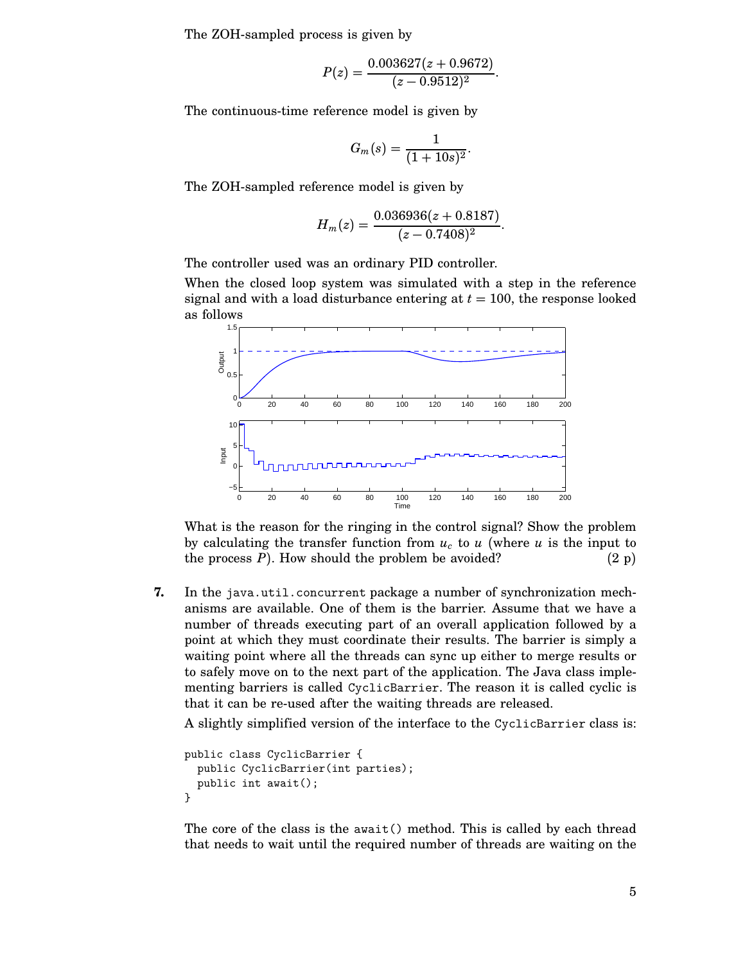The ZOH-sampled process is given by

$$
P(z) = \frac{0.003627(z + 0.9672)}{(z - 0.9512)^2}.
$$

The continuous-time reference model is given by

$$
G_m(s) = \frac{1}{(1+10s)^2}.
$$

The ZOH-sampled reference model is given by

$$
H_m(z) = \frac{0.036936(z + 0.8187)}{(z - 0.7408)^2}.
$$

The controller used was an ordinary PID controller.

When the closed loop system was simulated with a step in the reference signal and with a load disturbance entering at  $t = 100$ , the response looked as follows



What is the reason for the ringing in the control signal? Show the problem by calculating the transfer function from  $u_c$  to  $u$  (where  $u$  is the input to the process  $P$ ). How should the problem be avoided? (2 p)

**7.** In the java.util.concurrent package a number of synchronization mechanisms are available. One of them is the barrier. Assume that we have a number of threads executing part of an overall application followed by a point at which they must coordinate their results. The barrier is simply a waiting point where all the threads can sync up either to merge results or to safely move on to the next part of the application. The Java class implementing barriers is called CyclicBarrier. The reason it is called cyclic is that it can be re-used after the waiting threads are released.

A slightly simplified version of the interface to the CyclicBarrier class is:

```
public class CyclicBarrier {
  public CyclicBarrier(int parties);
  public int await();
}
```
The core of the class is the await() method. This is called by each thread that needs to wait until the required number of threads are waiting on the